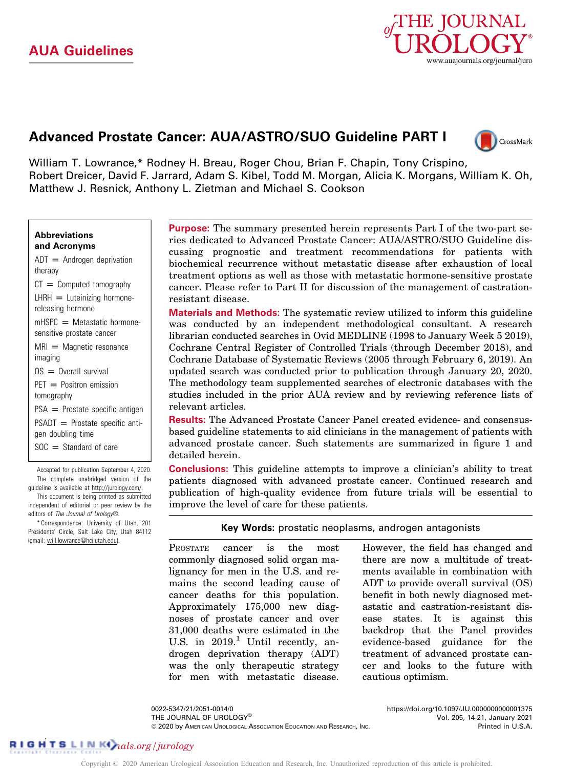

# Advanced Prostate Cancer: AUA/ASTRO/SUO Guideline PART I



William T. Lowrance,\* Rodney H. Breau, Roger Chou, Brian F. Chapin, Tony Crispino, Robert Dreicer, David F. Jarrard, Adam S. Kibel, Todd M. Morgan, Alicia K. Morgans, William K. Oh, Matthew J. Resnick, Anthony L. Zietman and Michael S. Cookson

## Abbreviations and Acronyms

 $ADT =$  Androgen deprivation therapy  $CT =$  Computed tomography  $LHRH = Luteinizing hormone$ releasing hormone  $mHSPC = Metastatic hormone$ sensitive prostate cancer  $MRI = Magnetic$  resonance imaging  $OS =$  Overall survival  $PET = Position emission$ tomography  $PSA =$  Prostate specific antigen  $PSADT = Prostate specific anti$ gen doubling time

 $SOC = Standard of care$ 

Accepted for publication September 4, 2020. The complete unabridged version of the guideline is available at <http://jurology.com/>.

This document is being printed as submitted independent of editorial or peer review by the editors of *The Journal of Urology*®.<br>\* Correspondence: University ©

\* Correspondence: University of Utah, 201 Presidents' Circle, Salt Lake City, Utah 84112 (email: [will.lowrance@hci.utah.edu\)](mailto:will.lowrance@hci.utah.edu).

Purpose: The summary presented herein represents Part I of the two-part series dedicated to Advanced Prostate Cancer: AUA/ASTRO/SUO Guideline discussing prognostic and treatment recommendations for patients with biochemical recurrence without metastatic disease after exhaustion of local treatment options as well as those with metastatic hormone-sensitive prostate cancer. Please refer to Part II for discussion of the management of castrationresistant disease.

Materials and Methods: The systematic review utilized to inform this guideline was conducted by an independent methodological consultant. A research librarian conducted searches in Ovid MEDLINE (1998 to January Week 5 2019), Cochrane Central Register of Controlled Trials (through December 2018), and Cochrane Database of Systematic Reviews (2005 through February 6, 2019). An updated search was conducted prior to publication through January 20, 2020. The methodology team supplemented searches of electronic databases with the studies included in the prior AUA review and by reviewing reference lists of relevant articles.

Results: The Advanced Prostate Cancer Panel created evidence- and consensusbased guideline statements to aid clinicians in the management of patients with advanced prostate cancer. Such statements are summarized in [figure 1](#page-1-0) and detailed herein.

Conclusions: This guideline attempts to improve a clinician's ability to treat patients diagnosed with advanced prostate cancer. Continued research and publication of high-quality evidence from future trials will be essential to improve the level of care for these patients.

Key Words: prostatic neoplasms, androgen antagonists

PROSTATE cancer is the most commonly diagnosed solid organ malignancy for men in the U.S. and remains the second leading cause of cancer deaths for this population. Approximately 175,000 new diagnoses of prostate cancer and over 31,000 deaths were estimated in the U.S. in  $2019<sup>1</sup>$  $2019<sup>1</sup>$  $2019<sup>1</sup>$  Until recently, androgen deprivation therapy (ADT) was the only therapeutic strategy for men with metastatic disease.

However, the field has changed and there are now a multitude of treatments available in combination with ADT to provide overall survival (OS) benefit in both newly diagnosed metastatic and castration-resistant disease states. It is against this backdrop that the Panel provides evidence-based guidance for the treatment of advanced prostate cancer and looks to the future with cautious optimism.

0022-5347/21/2051-0014/0 THE JOURNAL OF UROLOGY® 2020 by AMERICAN UROLOGICAL ASSOCIATION EDUCATION AND RESEARCH, INC. <https://doi.org/10.1097/JU.0000000000001375> Vol. 205, 14-21, January 2021 Printed in U.S.A.

Copyright © 2020 American Urological Association Education and Research, Inc. Unauthorized reproduction of this article is prohibited.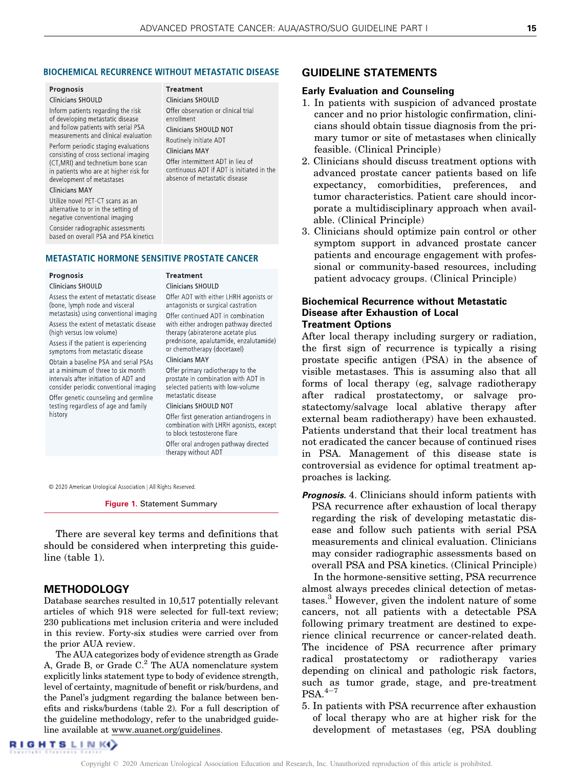## <span id="page-1-0"></span>**BIOCHEMICAL RECURRENCE WITHOUT METASTATIC DISEASE**

#### Prognosis

### Clinicians SHOULD

Inform patients regarding the risk of developing metastatic disease and follow patients with serial PSA measurements and clinical evaluation

Perform periodic staging evaluations consisting of cross sectional imaging (CT, MRI) and technetium bone scan in patients who are at higher risk for development of metastases

#### **Clinicians MAY**

Utilize novel PET-CT scans as an alternative to or in the setting of negative conventional imaging Consider radiographic assessments

## **Treatment**

**Clinicians SHOULD** Offer observation or clinical trial enrollment

**Clinicians SHOULD NOT** Routinely initiate ADT

## **Clinicians MAY**

Offer intermittent ADT in lieu of continuous ADT if ADT is initiated in the absence of metastatic disease

based on overall PSA and PSA kinetics

## **METASTATIC HORMONE SENSITIVE PROSTATE CANCER**

#### Prognosis

#### Clinicians SHOULD

Assess the extent of metastatic disease (bone, lymph node and visceral metastasis) using conventional imaging Assess the extent of metastatic disease

(high versus low volume)

Assess if the patient is experiencing symptoms from metastatic disease

Obtain a baseline PSA and serial PSAs at a minimum of three to six month intervals after initiation of ADT and consider periodic conventional imaging Offer genetic counseling and germline testing regardless of age and family history

## **Treatment**

**Clinicians SHOULD** Offer ADT with either LHRH agonists or antagonists or surgical castration Offer continued ADT in combination with either androgen pathway directed therapy (abiraterone acetate plus prednisone, apalutamide, enzalutamide) or chemotherapy (docetaxel)

#### **Clinicians MAY**

Offer primary radiotherapy to the prostate in combination with ADT in selected patients with low-volume metastatic disease

#### Clinicians SHOULD NOT

Offer first generation antiandrogens in combination with LHRH agonists, except to block testosterone flare Offer oral androgen pathway directed therapy without ADT

© 2020 American Urological Association | All Rights Reserved.

#### Figure 1. Statement Summary

There are several key terms and definitions that should be considered when interpreting this guideline ([table 1\)](#page-2-0).

## **METHODOLOGY**

Database searches resulted in 10,517 potentially relevant articles of which 918 were selected for full-text review; 230 publications met inclusion criteria and were included in this review. Forty-six studies were carried over from the prior AUA review.

The AUA categorizes body of evidence strength as Grade A, Grade B, or Grade C.<sup>[2](#page-6-0)</sup> The AUA nomenclature system explicitly links statement type to body of evidence strength, level of certainty, magnitude of benefit or risk/burdens, and the Panel's judgment regarding the balance between benefits and risks/burdens ([table 2](#page-3-0)). For a full description of the guideline methodology, refer to the unabridged guideline available at [www.auanet.org/guidelines.](http://www.auanet.org/guidelines)

## GUIDELINE STATEMENTS

## Early Evaluation and Counseling

- 1. In patients with suspicion of advanced prostate cancer and no prior histologic confirmation, clinicians should obtain tissue diagnosis from the primary tumor or site of metastases when clinically feasible. (Clinical Principle)
- 2. Clinicians should discuss treatment options with advanced prostate cancer patients based on life expectancy, comorbidities, preferences, and tumor characteristics. Patient care should incorporate a multidisciplinary approach when available. (Clinical Principle)
- 3. Clinicians should optimize pain control or other symptom support in advanced prostate cancer patients and encourage engagement with professional or community-based resources, including patient advocacy groups. (Clinical Principle)

## Biochemical Recurrence without Metastatic Disease after Exhaustion of Local Treatment Options

After local therapy including surgery or radiation, the first sign of recurrence is typically a rising prostate specific antigen (PSA) in the absence of visible metastases. This is assuming also that all forms of local therapy (eg, salvage radiotherapy after radical prostatectomy, or salvage prostatectomy/salvage local ablative therapy after external beam radiotherapy) have been exhausted. Patients understand that their local treatment has not eradicated the cancer because of continued rises in PSA. Management of this disease state is controversial as evidence for optimal treatment approaches is lacking.

Prognosis. 4. Clinicians should inform patients with PSA recurrence after exhaustion of local therapy regarding the risk of developing metastatic disease and follow such patients with serial PSA measurements and clinical evaluation. Clinicians may consider radiographic assessments based on overall PSA and PSA kinetics. (Clinical Principle)

In the hormone-sensitive setting, PSA recurrence almost always precedes clinical detection of metastases.<sup>3</sup> However, given the indolent nature of some cancers, not all patients with a detectable PSA following primary treatment are destined to experience clinical recurrence or cancer-related death. The incidence of PSA recurrence after primary radical prostatectomy or radiotherapy varies depending on clinical and pathologic risk factors, such as tumor grade, stage, and pre-treatment  $PSA.<sup>4-7</sup>$ 

5. In patients with PSA recurrence after exhaustion of local therapy who are at higher risk for the development of metastases (eg, PSA doubling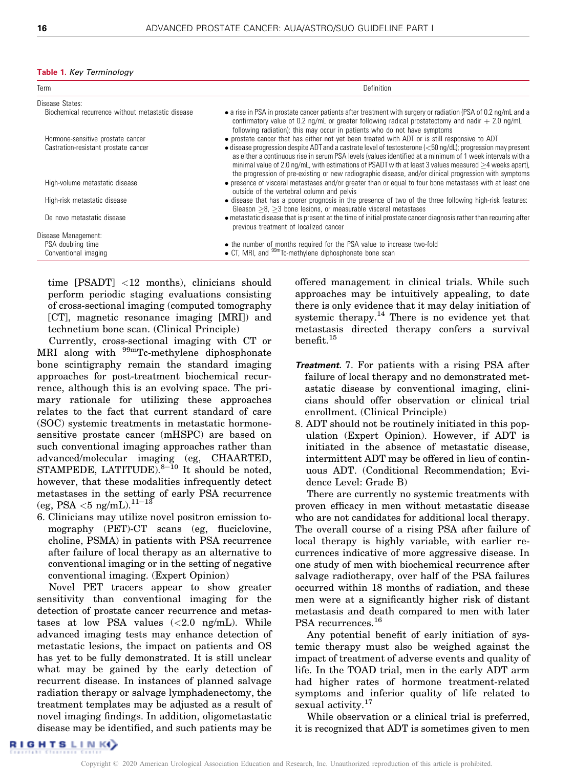## <span id="page-2-0"></span>Table 1. Key Terminology

| Term                                              | Definition                                                                                                                                                                                                                                                                                                                                                                                                                                                 |
|---------------------------------------------------|------------------------------------------------------------------------------------------------------------------------------------------------------------------------------------------------------------------------------------------------------------------------------------------------------------------------------------------------------------------------------------------------------------------------------------------------------------|
| Disease States:                                   |                                                                                                                                                                                                                                                                                                                                                                                                                                                            |
| Biochemical recurrence without metastatic disease | • a rise in PSA in prostate cancer patients after treatment with surgery or radiation (PSA of 0.2 ng/mL and a<br>confirmatory value of 0.2 ng/mL or greater following radical prostatectomy and nadir $+2.0$ ng/mL<br>following radiation); this may occur in patients who do not have symptoms                                                                                                                                                            |
| Hormone-sensitive prostate cancer                 | • prostate cancer that has either not yet been treated with ADT or is still responsive to ADT                                                                                                                                                                                                                                                                                                                                                              |
| Castration-resistant prostate cancer              | • disease progression despite ADT and a castrate level of testosterone $(<50 \text{ ng/dL})$ ; progression may present<br>as either a continuous rise in serum PSA levels (values identified at a minimum of 1 week intervals with a<br>minimal value of 2.0 ng/mL, with estimations of PSADT with at least 3 values measured $>4$ weeks apart),<br>the progression of pre-existing or new radiographic disease, and/or clinical progression with symptoms |
| High-volume metastatic disease                    | • presence of visceral metastases and/or greater than or equal to four bone metastases with at least one<br>outside of the vertebral column and pelvis                                                                                                                                                                                                                                                                                                     |
| High-risk metastatic disease                      | • disease that has a poorer prognosis in the presence of two of the three following high-risk features:<br>Gleason $>8$ , $>3$ bone lesions, or measurable visceral metastases                                                                                                                                                                                                                                                                             |
| De novo metastatic disease                        | • metastatic disease that is present at the time of initial prostate cancer diagnosis rather than recurring after<br>previous treatment of localized cancer                                                                                                                                                                                                                                                                                                |
| Disease Management:                               |                                                                                                                                                                                                                                                                                                                                                                                                                                                            |
| PSA doubling time<br>Conventional imaging         | • the number of months required for the PSA value to increase two-fold<br>• CT, MRI, and <sup>99m</sup> Tc-methylene diphosphonate bone scan                                                                                                                                                                                                                                                                                                               |

time [PSADT] <12 months), clinicians should perform periodic staging evaluations consisting of cross-sectional imaging (computed tomography [CT], magnetic resonance imaging [MRI]) and technetium bone scan. (Clinical Principle)

Currently, cross-sectional imaging with CT or MRI along with 99mTc-methylene diphosphonate bone scintigraphy remain the standard imaging approaches for post-treatment biochemical recurrence, although this is an evolving space. The primary rationale for utilizing these approaches relates to the fact that current standard of care (SOC) systemic treatments in metastatic hormonesensitive prostate cancer (mHSPC) are based on such conventional imaging approaches rather than advanced/molecular imaging (eg, CHAARTED,  $STAMPEDE, LATITUDE).$ <sup>8-10</sup> It should be noted, however, that these modalities infrequently detect metastases in the setting of early PSA recurrence (eg, PSA <5 ng/mL). $^{11-13}$ 

6. Clinicians may utilize novel positron emission tomography (PET)-CT scans (eg, fluciclovine, choline, PSMA) in patients with PSA recurrence after failure of local therapy as an alternative to conventional imaging or in the setting of negative conventional imaging. (Expert Opinion)

Novel PET tracers appear to show greater sensitivity than conventional imaging for the detection of prostate cancer recurrence and metastases at low PSA values  $\langle$  <2.0 ng/mL). While advanced imaging tests may enhance detection of metastatic lesions, the impact on patients and OS has yet to be fully demonstrated. It is still unclear what may be gained by the early detection of recurrent disease. In instances of planned salvage radiation therapy or salvage lymphadenectomy, the treatment templates may be adjusted as a result of novel imaging findings. In addition, oligometastatic disease may be identified, and such patients may be

offered management in clinical trials. While such approaches may be intuitively appealing, to date there is only evidence that it may delay initiation of systemic therapy. $14$  There is no evidence yet that metastasis directed therapy confers a survival benefit.[15](#page-7-0)

- **Treatment.** 7. For patients with a rising PSA after failure of local therapy and no demonstrated metastatic disease by conventional imaging, clinicians should offer observation or clinical trial enrollment. (Clinical Principle)
- 8. ADT should not be routinely initiated in this population (Expert Opinion). However, if ADT is initiated in the absence of metastatic disease, intermittent ADT may be offered in lieu of continuous ADT. (Conditional Recommendation; Evidence Level: Grade B)

There are currently no systemic treatments with proven efficacy in men without metastatic disease who are not candidates for additional local therapy. The overall course of a rising PSA after failure of local therapy is highly variable, with earlier recurrences indicative of more aggressive disease. In one study of men with biochemical recurrence after salvage radiotherapy, over half of the PSA failures occurred within 18 months of radiation, and these men were at a significantly higher risk of distant metastasis and death compared to men with later PSA recurrences.<sup>16</sup>

Any potential benefit of early initiation of systemic therapy must also be weighed against the impact of treatment of adverse events and quality of life. In the TOAD trial, men in the early ADT arm had higher rates of hormone treatment-related symptoms and inferior quality of life related to sexual activity.<sup>[17](#page-7-0)</sup>

While observation or a clinical trial is preferred, it is recognized that ADT is sometimes given to men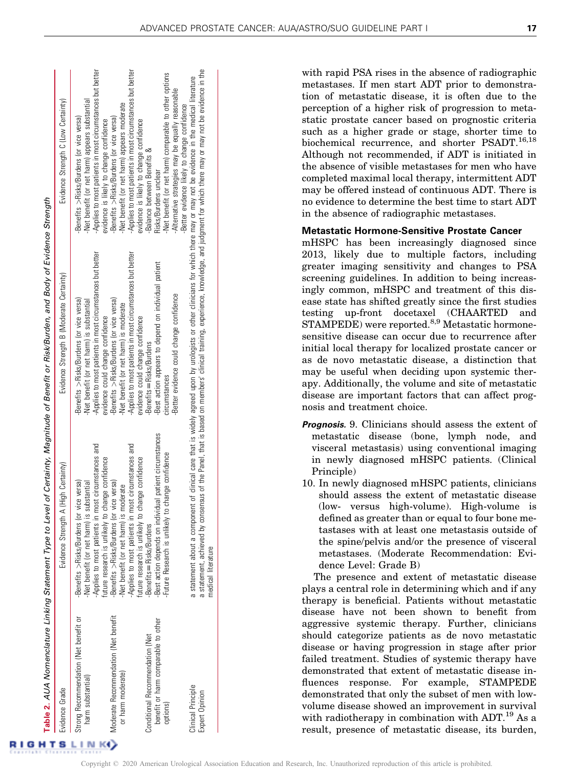**RIGHTSLINKO** 

<span id="page-3-0"></span>

| Evidence Grade                                                                     | High Certainty)<br>Evidence Strength A (1                                                                                                                                                    | Evidence Strength B (Moderate Certainty)                                                                                                                                                                                                                                                                                                  | Evidence Strength C (Low Certainty)                                                                                                                                                              |
|------------------------------------------------------------------------------------|----------------------------------------------------------------------------------------------------------------------------------------------------------------------------------------------|-------------------------------------------------------------------------------------------------------------------------------------------------------------------------------------------------------------------------------------------------------------------------------------------------------------------------------------------|--------------------------------------------------------------------------------------------------------------------------------------------------------------------------------------------------|
| Strong Recommendation (Net benefit or<br>harm substantial)                         | Applies to most patients in most circumstances and<br>uture research is unlikely to change confidence<br>Benefits >Risks/Burdens (or vice versa)<br>Net benefit (or net harm) is substantial | Applies to most patients in most circumstances but better<br>Benefits >Risks/Burdens (or vice versa)<br>-Net benefit (or net harm) is substantial<br>evidence could change confidence                                                                                                                                                     | Applies to most patients in most circumstances but better<br>Net benefit (or net harm) appears substantial<br>Benefits >Risks/Burdens (or vice versa)<br>evidence is likely to change confidence |
| Moderate Recommendation (Net benefit<br>or harm moderate)                          | Applies to most patients in most circumstances and<br>uture research is unlikely to change confidence<br>Benefits > Risks/Burdens (or vice versa)<br>Net benefit (or net harm) is moderate   | -Applies to most patients in most circumstances but better<br>Benefits >Risks/Burdens (or vice versa)<br>-Net benefit (or net harm) is moderate<br>evidence could change confidence                                                                                                                                                       | -Applies to most patients in most circumstances but better<br>-Net benefit (or net harm) appears moderate<br>Benefits >Risks/Burdens (or vice versa)<br>evidence is likely to change confidence  |
| benefit or harm comparable to other<br>Conditional Recommendation (Net<br>options) | Best action depends on individual patient circumstances<br>Future Research is unlikely to change confidence<br>Benefits = Risks/Burdens                                                      | -Best action appears to depend on individual patient<br>Better evidence could change confidence<br>Benefits = Risks/Burdens<br>circumstances                                                                                                                                                                                              | -Net benefit (or net harm) comparable to other options<br>Alternative strategies may be equally reasonable<br>-Balance between Benefits &<br>Risks/Burdens unclear                               |
| Clinical Principle<br>Expert Opinion                                               | a statement about a component<br>medical literature                                                                                                                                          | a statement, achieved by consensus of the Panel, that is based on members' clinical training, experience, knowledge, and judgment for which there may or may not be evidence in the<br>of clinical care that is widely agreed upon by urologists or other clinicians for which there may or may not be evidence in the medical literature | Better evidence likely to change confidence                                                                                                                                                      |
|                                                                                    |                                                                                                                                                                                              |                                                                                                                                                                                                                                                                                                                                           |                                                                                                                                                                                                  |

with rapid PSA rises in the absence of radiographic metastases. If men start ADT prior to demonstration of metastatic disease, it is often due to the perception of a higher risk of progression to metastatic prostate cancer based on prognostic criteria such as a higher grade or stage, shorter time to biochemical recurrence, and shorter PSADT.<sup>16,18</sup> Although not recommended, if ADT is initiated in the absence of visible metastases for men who have completed maximal local therapy, intermittent ADT may be offered instead of continuous ADT. There is no evidence to determine the best time to start ADT in the absence of radiographic metastases.

## Metastatic Hormone-Sensitive Prostate Cancer

mHSPC has been increasingly diagnosed since 2013, likely due to multiple factors, including greater imaging sensitivity and changes to PSA screening guidelines. In addition to being increasingly common, mHSPC and treatment of this disease state has shifted greatly since the first studies testing up-front docetaxel (CHAARTED and  $STAMPEDE$ ) were reported.<sup>8,9</sup> Metastatic hormonesensitive disease can occur due to recurrence after initial local therapy for localized prostate cancer or as de novo metastatic disease, a distinction that may be useful when deciding upon systemic therapy. Additionally, the volume and site of metastatic disease are important factors that can affect prognosis and treatment choice.

- **Prognosis.** 9. Clinicians should assess the extent of metastatic disease (bone, lymph node, and visceral metastasis) using conventional imaging in newly diagnosed mHSPC patients. (Clinical Principle)
- 10. In newly diagnosed mHSPC patients, clinicians should assess the extent of metastatic disease (low- versus high-volume). High-volume is defined as greater than or equal to four bone metastases with at least one metastasis outside of the spine/pelvis and/or the presence of visceral metastases. (Moderate Recommendation: Evidence Level: Grade B)

The presence and extent of metastatic disease plays a central role in determining which and if any therapy is beneficial. Patients without metastatic disease have not been shown to benefit from aggressive systemic therapy. Further, clinicians should categorize patients as de novo metastatic disease or having progression in stage after prior failed treatment. Studies of systemic therapy have demonstrated that extent of metastatic disease influences response. For example, STAMPEDE demonstrated that only the subset of men with lowvolume disease showed an improvement in survival with radiotherapy in combination with ADT.<sup>[19](#page-7-0)</sup> As a result, presence of metastatic disease, its burden,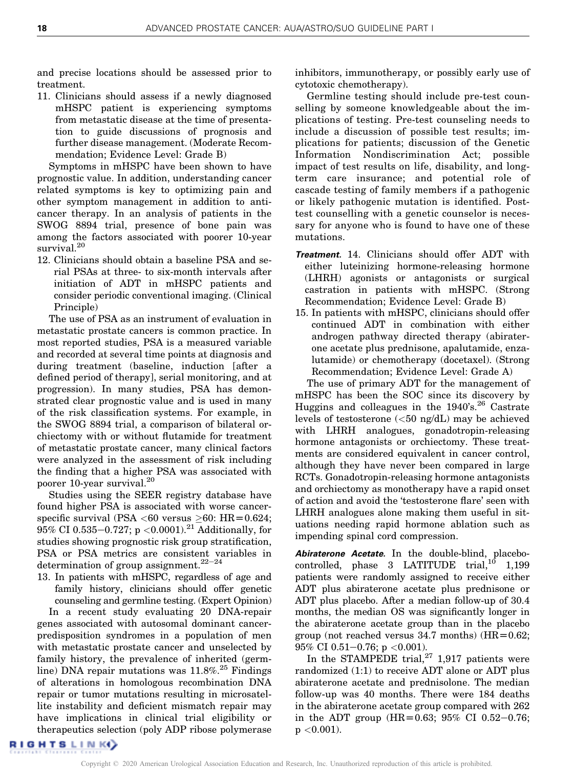and precise locations should be assessed prior to treatment.

11. Clinicians should assess if a newly diagnosed mHSPC patient is experiencing symptoms from metastatic disease at the time of presentation to guide discussions of prognosis and further disease management. (Moderate Recommendation; Evidence Level: Grade B)

Symptoms in mHSPC have been shown to have prognostic value. In addition, understanding cancer related symptoms is key to optimizing pain and other symptom management in addition to anticancer therapy. In an analysis of patients in the SWOG 8894 trial, presence of bone pain was among the factors associated with poorer 10-year survival.<sup>[20](#page-7-0)</sup>

12. Clinicians should obtain a baseline PSA and serial PSAs at three- to six-month intervals after initiation of ADT in mHSPC patients and consider periodic conventional imaging. (Clinical Principle)

The use of PSA as an instrument of evaluation in metastatic prostate cancers is common practice. In most reported studies, PSA is a measured variable and recorded at several time points at diagnosis and during treatment (baseline, induction [after a defined period of therapy], serial monitoring, and at progression). In many studies, PSA has demonstrated clear prognostic value and is used in many of the risk classification systems. For example, in the SWOG 8894 trial, a comparison of bilateral orchiectomy with or without flutamide for treatment of metastatic prostate cancer, many clinical factors were analyzed in the assessment of risk including the finding that a higher PSA was associated with poorer 10-year survival.<sup>20</sup>

Studies using the SEER registry database have found higher PSA is associated with worse cancerspecific survival (PSA <60 versus  $\geq$ 60: HR=0.624; 95% CI 0.535-0.727; p <0.0001).<sup>[21](#page-7-0)</sup> Additionally, for studies showing prognostic risk group stratification, PSA or PSA metrics are consistent variables in determination of group assignment.<sup>22-24</sup>

13. In patients with mHSPC, regardless of age and family history, clinicians should offer genetic counseling and germline testing. (Expert Opinion)

In a recent study evaluating 20 DNA-repair genes associated with autosomal dominant cancerpredisposition syndromes in a population of men with metastatic prostate cancer and unselected by family history, the prevalence of inherited (germline) DNA repair mutations was  $11.8\%$ <sup>25</sup> Findings of alterations in homologous recombination DNA repair or tumor mutations resulting in microsatellite instability and deficient mismatch repair may have implications in clinical trial eligibility or therapeutics selection (poly ADP ribose polymerase

inhibitors, immunotherapy, or possibly early use of cytotoxic chemotherapy).

Germline testing should include pre-test counselling by someone knowledgeable about the implications of testing. Pre-test counseling needs to include a discussion of possible test results; implications for patients; discussion of the Genetic Information Nondiscrimination Act; possible impact of test results on life, disability, and longterm care insurance; and potential role of cascade testing of family members if a pathogenic or likely pathogenic mutation is identified. Posttest counselling with a genetic counselor is necessary for anyone who is found to have one of these mutations.

- Treatment. 14. Clinicians should offer ADT with either luteinizing hormone-releasing hormone (LHRH) agonists or antagonists or surgical castration in patients with mHSPC. (Strong Recommendation; Evidence Level: Grade B)
- 15. In patients with mHSPC, clinicians should offer continued ADT in combination with either androgen pathway directed therapy (abiraterone acetate plus prednisone, apalutamide, enzalutamide) or chemotherapy (docetaxel). (Strong Recommendation; Evidence Level: Grade A)

The use of primary ADT for the management of mHSPC has been the SOC since its discovery by Huggins and colleagues in the 1940's.<sup>[26](#page-7-0)</sup> Castrate levels of testosterone (<50 ng/dL) may be achieved with LHRH analogues, gonadotropin-releasing hormone antagonists or orchiectomy. These treatments are considered equivalent in cancer control, although they have never been compared in large RCTs. Gonadotropin-releasing hormone antagonists and orchiectomy as monotherapy have a rapid onset of action and avoid the 'testosterone flare' seen with LHRH analogues alone making them useful in situations needing rapid hormone ablation such as impending spinal cord compression.

Abiraterone Acetate. In the double-blind, placebocontrolled, phase  $3$  LATITUDE trial,<sup>10</sup> 1,199 patients were randomly assigned to receive either ADT plus abiraterone acetate plus prednisone or ADT plus placebo. After a median follow-up of 30.4 months, the median OS was significantly longer in the abiraterone acetate group than in the placebo group (not reached versus  $34.7$  months) (HR=0.62; 95% CI 0.51-0.76; p <0.001).

In the STAMPEDE trial,  $27$  1,917 patients were randomized (1:1) to receive ADT alone or ADT plus abiraterone acetate and prednisolone. The median follow-up was 40 months. There were 184 deaths in the abiraterone acetate group compared with 262 in the ADT group  $(HR=0.63; 95\% \text{ CI } 0.52-0.76;$  $p < 0.001$ ).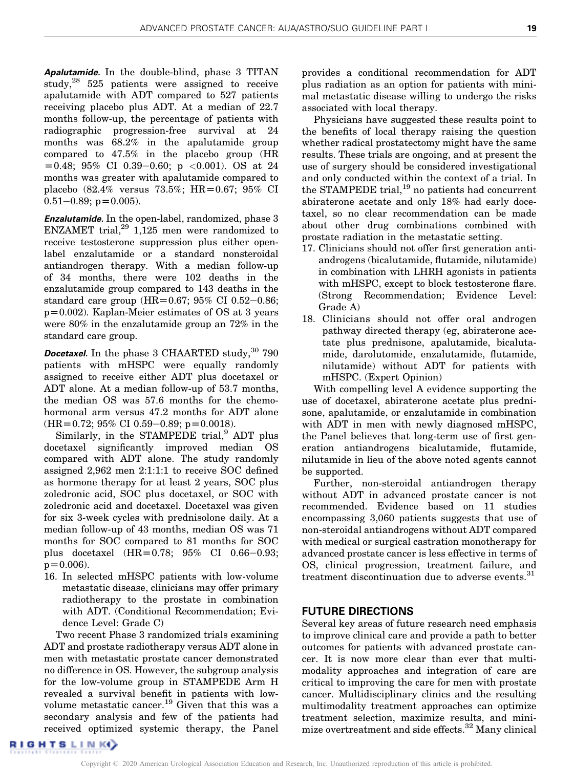Apalutamide. In the double-blind, phase 3 TITAN study,  $28\frac{25}{7}$  $28\frac{25}{7}$  patients were assigned to receive apalutamide with ADT compared to 527 patients receiving placebo plus ADT. At a median of 22.7 months follow-up, the percentage of patients with radiographic progression-free survival at 24 months was 68.2% in the apalutamide group compared to 47.5% in the placebo group (HR  $(0.48; 95\% \text{ CI } 0.39-0.60; \text{ p } <0.001)$ . OS at 24 months was greater with apalutamide compared to placebo  $(82.4\% \text{ versus } 73.5\%; \text{ HR}=0.67; 95\% \text{ CI}$  $0.51-0.89$ ; p=0.005).

**Enzalutamide.** In the open-label, randomized, phase 3 ENZAMET trial, $^{29}$  1,125 men were randomized to receive testosterone suppression plus either openlabel enzalutamide or a standard nonsteroidal antiandrogen therapy. With a median follow-up of 34 months, there were 102 deaths in the enzalutamide group compared to 143 deaths in the standard care group  $(HR=0.67; 95\% \text{ CI } 0.52-0.86;$  $p=0.002$ ). Kaplan-Meier estimates of OS at 3 years were 80% in the enzalutamide group an 72% in the standard care group.

**Docetaxel.** In the phase 3 CHAARTED study,  $30\,790$  $30\,790$ patients with mHSPC were equally randomly assigned to receive either ADT plus docetaxel or ADT alone. At a median follow-up of 53.7 months, the median OS was 57.6 months for the chemohormonal arm versus 47.2 months for ADT alone  $(HR=0.72; 95\% \text{ CI } 0.59-0.89; \text{ p}=0.0018).$ 

Similarly, in the STAMPEDE trial, $9$  ADT plus docetaxel significantly improved median OS compared with ADT alone. The study randomly assigned 2,962 men 2:1:1:1 to receive SOC defined as hormone therapy for at least 2 years, SOC plus zoledronic acid, SOC plus docetaxel, or SOC with zoledronic acid and docetaxel. Docetaxel was given for six 3-week cycles with prednisolone daily. At a median follow-up of 43 months, median OS was 71 months for SOC compared to 81 months for SOC plus docetaxel  $(HR=0.78; 95% \text{ CI} 0.66-0.93;$  $p=0.006$ ).

16. In selected mHSPC patients with low-volume metastatic disease, clinicians may offer primary radiotherapy to the prostate in combination with ADT. (Conditional Recommendation; Evidence Level: Grade C)

Two recent Phase 3 randomized trials examining ADT and prostate radiotherapy versus ADT alone in men with metastatic prostate cancer demonstrated no difference in OS. However, the subgroup analysis for the low-volume group in STAMPEDE Arm H revealed a survival benefit in patients with low-volume metastatic cancer.<sup>[19](#page-7-0)</sup> Given that this was a secondary analysis and few of the patients had received optimized systemic therapy, the Panel provides a conditional recommendation for ADT plus radiation as an option for patients with minimal metastatic disease willing to undergo the risks associated with local therapy.

Physicians have suggested these results point to the benefits of local therapy raising the question whether radical prostatectomy might have the same results. These trials are ongoing, and at present the use of surgery should be considered investigational and only conducted within the context of a trial. In the STAMPEDE trial,  $19$  no patients had concurrent abiraterone acetate and only 18% had early docetaxel, so no clear recommendation can be made about other drug combinations combined with prostate radiation in the metastatic setting.

- 17. Clinicians should not offer first generation antiandrogens (bicalutamide, flutamide, nilutamide) in combination with LHRH agonists in patients with mHSPC, except to block testosterone flare. (Strong Recommendation; Evidence Level: Grade A)
- 18. Clinicians should not offer oral androgen pathway directed therapy (eg, abiraterone acetate plus prednisone, apalutamide, bicalutamide, darolutomide, enzalutamide, flutamide, nilutamide) without ADT for patients with mHSPC. (Expert Opinion)

With compelling level A evidence supporting the use of docetaxel, abiraterone acetate plus prednisone, apalutamide, or enzalutamide in combination with ADT in men with newly diagnosed mHSPC, the Panel believes that long-term use of first generation antiandrogens bicalutamide, flutamide, nilutamide in lieu of the above noted agents cannot be supported.

Further, non-steroidal antiandrogen therapy without ADT in advanced prostate cancer is not recommended. Evidence based on 11 studies encompassing 3,060 patients suggests that use of non-steroidal antiandrogens without ADT compared with medical or surgical castration monotherapy for advanced prostate cancer is less effective in terms of OS, clinical progression, treatment failure, and treatment discontinuation due to adverse events.<sup>[31](#page-7-0)</sup>

## FUTURE DIRECTIONS

Several key areas of future research need emphasis to improve clinical care and provide a path to better outcomes for patients with advanced prostate cancer. It is now more clear than ever that multimodality approaches and integration of care are critical to improving the care for men with prostate cancer. Multidisciplinary clinics and the resulting multimodality treatment approaches can optimize treatment selection, maximize results, and minimize overtreatment and side effects.<sup>32</sup> Many clinical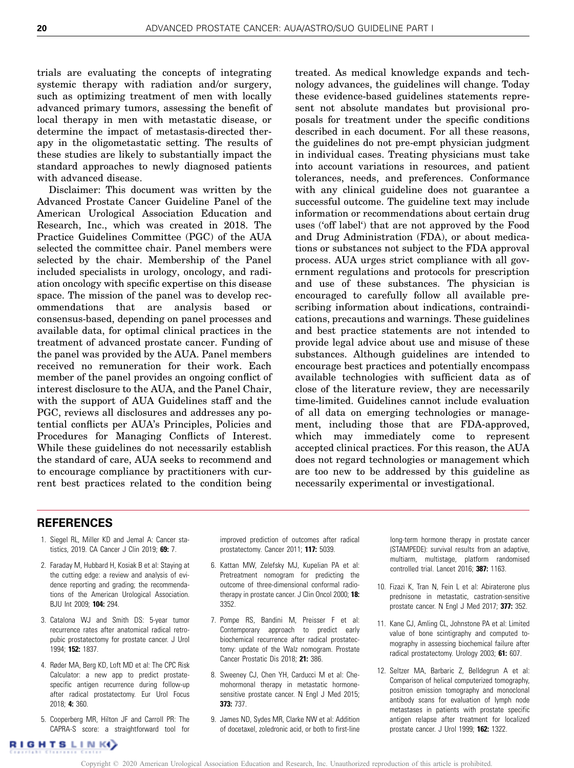<span id="page-6-0"></span>trials are evaluating the concepts of integrating systemic therapy with radiation and/or surgery, such as optimizing treatment of men with locally advanced primary tumors, assessing the benefit of local therapy in men with metastatic disease, or determine the impact of metastasis-directed therapy in the oligometastatic setting. The results of these studies are likely to substantially impact the standard approaches to newly diagnosed patients with advanced disease.

Disclaimer: This document was written by the Advanced Prostate Cancer Guideline Panel of the American Urological Association Education and Research, Inc., which was created in 2018. The Practice Guidelines Committee (PGC) of the AUA selected the committee chair. Panel members were selected by the chair. Membership of the Panel included specialists in urology, oncology, and radiation oncology with specific expertise on this disease space. The mission of the panel was to develop recommendations that are analysis based or consensus-based, depending on panel processes and available data, for optimal clinical practices in the treatment of advanced prostate cancer. Funding of the panel was provided by the AUA. Panel members received no remuneration for their work. Each member of the panel provides an ongoing conflict of interest disclosure to the AUA, and the Panel Chair, with the support of AUA Guidelines staff and the PGC, reviews all disclosures and addresses any potential conflicts per AUA's Principles, Policies and Procedures for Managing Conflicts of Interest. While these guidelines do not necessarily establish the standard of care, AUA seeks to recommend and to encourage compliance by practitioners with current best practices related to the condition being

treated. As medical knowledge expands and technology advances, the guidelines will change. Today these evidence-based guidelines statements represent not absolute mandates but provisional proposals for treatment under the specific conditions described in each document. For all these reasons, the guidelines do not pre-empt physician judgment in individual cases. Treating physicians must take into account variations in resources, and patient tolerances, needs, and preferences. Conformance with any clinical guideline does not guarantee a successful outcome. The guideline text may include information or recommendations about certain drug uses ('off label') that are not approved by the Food and Drug Administration (FDA), or about medications or substances not subject to the FDA approval process. AUA urges strict compliance with all government regulations and protocols for prescription and use of these substances. The physician is encouraged to carefully follow all available prescribing information about indications, contraindications, precautions and warnings. These guidelines and best practice statements are not intended to provide legal advice about use and misuse of these substances. Although guidelines are intended to encourage best practices and potentially encompass available technologies with sufficient data as of close of the literature review, they are necessarily time-limited. Guidelines cannot include evaluation of all data on emerging technologies or management, including those that are FDA-approved, which may immediately come to represent accepted clinical practices. For this reason, the AUA does not regard technologies or management which are too new to be addressed by this guideline as necessarily experimental or investigational.

## **REFERENCES**

- 1. Siegel RL, Miller KD and Jemal A: Cancer statistics, 2019. CA Cancer J Clin 2019; 69: 7.
- 2. Faraday M, Hubbard H, Kosiak B et al: Staying at the cutting edge: a review and analysis of evidence reporting and grading; the recommendations of the American Urological Association. BJU Int 2009; 104: 294.
- 3. Catalona WJ and Smith DS: 5-year tumor recurrence rates after anatomical radical retropubic prostatectomy for prostate cancer. J Urol 1994; 152: 1837.
- 4. Røder MA, Berg KD, Loft MD et al: The CPC Risk Calculator: a new app to predict prostatespecific antigen recurrence during follow-up after radical prostatectomy. Eur Urol Focus 2018; 4: 360.
- 5. Cooperberg MR, Hilton JF and Carroll PR: The CAPRA-S score: a straightforward tool for

improved prediction of outcomes after radical prostatectomy. Cancer 2011; 117: 5039.

- 6. Kattan MW, Zelefsky MJ, Kupelian PA et al: Pretreatment nomogram for predicting the outcome of three-dimensional conformal radiotherapy in prostate cancer. J Clin Oncol 2000; 18: 3352.
- 7. Pompe RS, Bandini M, Preisser F et al: Contemporary approach to predict early biochemical recurrence after radical prostatectomy: update of the Walz nomogram. Prostate Cancer Prostatic Dis 2018; 21: 386.
- 8. Sweeney CJ, Chen YH, Carducci M et al: Chemohormonal therapy in metastatic hormonesensitive prostate cancer. N Engl J Med 2015; 373: 737.
- 9. James ND, Sydes MR, Clarke NW et al: Addition of docetaxel, zoledronic acid, or both to first-line

long-term hormone therapy in prostate cancer (STAMPEDE): survival results from an adaptive, multiarm, multistage, platform randomised controlled trial. Lancet 2016; 387: 1163.

- 10. Fizazi K, Tran N, Fein L et al: Abiraterone plus prednisone in metastatic, castration-sensitive prostate cancer. N Engl J Med 2017; 377: 352.
- 11. Kane CJ, Amling CL, Johnstone PA et al: Limited value of bone scintigraphy and computed tomography in assessing biochemical failure after radical prostatectomy. Urology 2003; 61: 607.
- 12. Seltzer MA, Barbaric Z, Belldegrun A et al: Comparison of helical computerized tomography, positron emission tomography and monoclonal antibody scans for evaluation of lymph node metastases in patients with prostate specific antigen relapse after treatment for localized prostate cancer. J Urol 1999; 162: 1322.